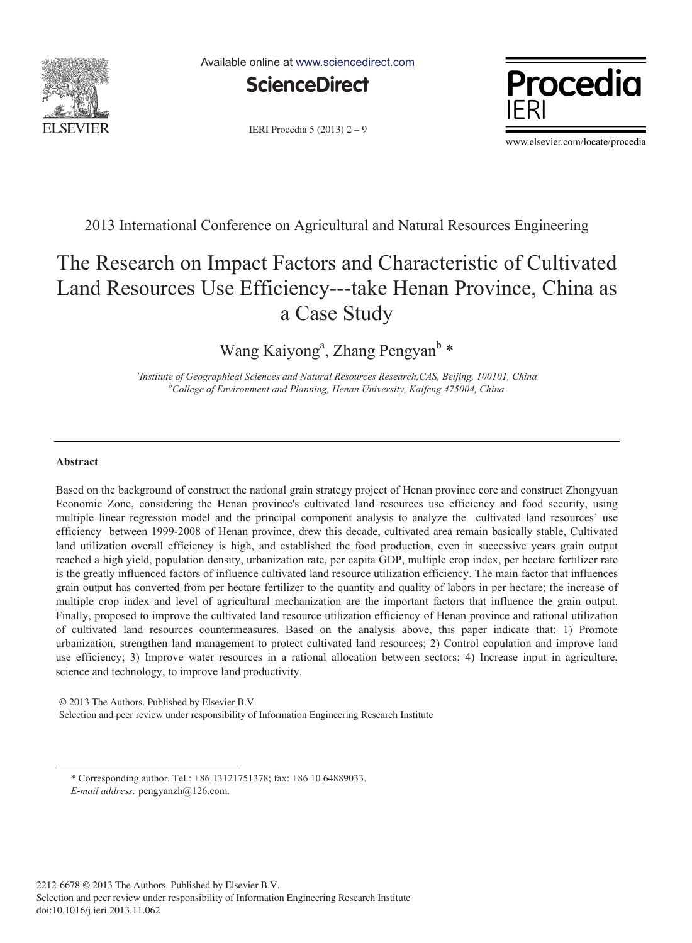

Available online at www.sciencedirect.com



IERI Procedia 5 (2013) 2 – 9



www.elsevier.com/locate/procedia

2013 International Conference on Agricultural and Natural Resources Engineering

# The Research on Impact Factors and Characteristic of Cultivated Land Resources Use Efficiency---take Henan Province, China as a Case Study

Wang Kaiyong<sup>a</sup>, Zhang Pengyan<sup>b</sup>\*

<sup>a</sup> Institute of Geographical Sciences and Natural Resources Research,CAS, Beijing, 100101, China *b* College of Environment and Planning, Hangy Liniversity, Kaifeng 475004, China *College of Environment and Planning, Henan University, Kaifeng 475004, China* 

## **Abstract**

-

Based on the background of construct the national grain strategy project of Henan province core and construct Zhongyuan Economic Zone, considering the Henan province's cultivated land resources use efficiency and food security, using multiple linear regression model and the principal component analysis to analyze the cultivated land resources' use efficiency between 1999-2008 of Henan province, drew this decade, cultivated area remain basically stable, Cultivated land utilization overall efficiency is high, and established the food production, even in successive years grain output reached a high yield, population density, urbanization rate, per capita GDP, multiple crop index, per hectare fertilizer rate is the greatly influenced factors of influence cultivated land resource utilization efficiency. The main factor that influences grain output has converted from per hectare fertilizer to the quantity and quality of labors in per hectare; the increase of multiple crop index and level of agricultural mechanization are the important factors that influence the grain output. Finally, proposed to improve the cultivated land resource utilization efficiency of Henan province and rational utilization of cultivated land resources countermeasures. Based on the analysis above, this paper indicate that: 1) Promote urbanization, strengthen land management to protect cultivated land resources; 2) Control copulation and improve land use efficiency; 3) Improve water resources in a rational allocation between sectors; 4) Increase input in agriculture, science and technology, to improve land productivity.

© 2013. Published by Elsevier B.V. © 2013 The Authors. Published by Elsevier B.V.

Selection and peer review under responsibility of Information Engineering Research Institute Selection and peer review under responsibility of Information Engineering Research Institute

*E-mail address:* pengyanzh@126.com.

<sup>\*</sup> Corresponding author. Tel.: +86 13121751378; fax: +86 10 64889033.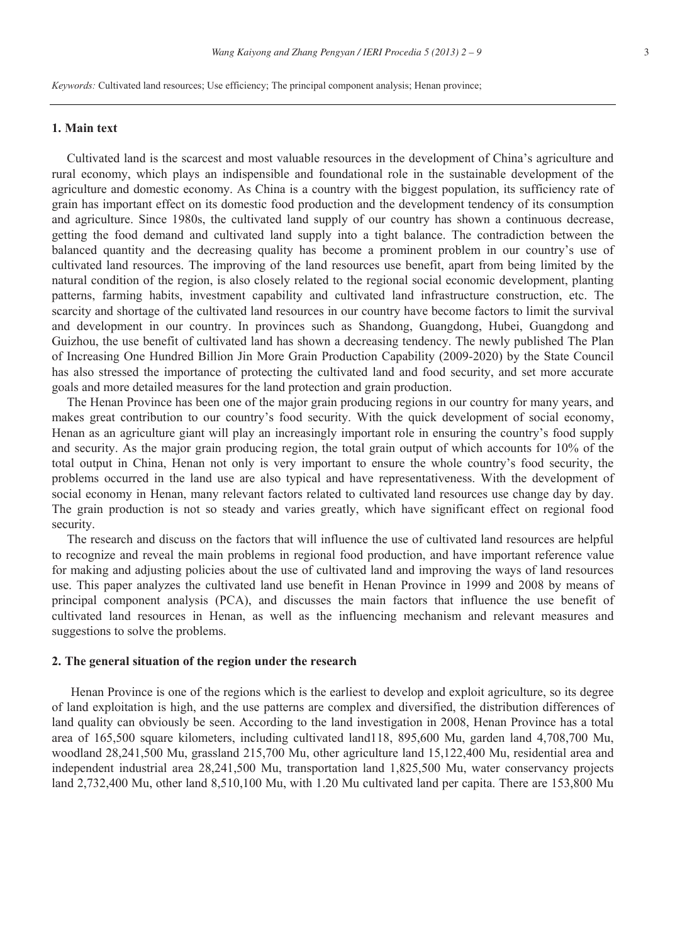*Keywords:* Cultivated land resources; Use efficiency; The principal component analysis; Henan province;

#### **1. Main text**

Cultivated land is the scarcest and most valuable resources in the development of China's agriculture and rural economy, which plays an indispensible and foundational role in the sustainable development of the agriculture and domestic economy. As China is a country with the biggest population, its sufficiency rate of grain has important effect on its domestic food production and the development tendency of its consumption and agriculture. Since 1980s, the cultivated land supply of our country has shown a continuous decrease, getting the food demand and cultivated land supply into a tight balance. The contradiction between the balanced quantity and the decreasing quality has become a prominent problem in our country's use of cultivated land resources. The improving of the land resources use benefit, apart from being limited by the natural condition of the region, is also closely related to the regional social economic development, planting patterns, farming habits, investment capability and cultivated land infrastructure construction, etc. The scarcity and shortage of the cultivated land resources in our country have become factors to limit the survival and development in our country. In provinces such as Shandong, Guangdong, Hubei, Guangdong and Guizhou, the use benefit of cultivated land has shown a decreasing tendency. The newly published The Plan of Increasing One Hundred Billion Jin More Grain Production Capability (2009-2020) by the State Council has also stressed the importance of protecting the cultivated land and food security, and set more accurate goals and more detailed measures for the land protection and grain production.

The Henan Province has been one of the major grain producing regions in our country for many years, and makes great contribution to our country's food security. With the quick development of social economy, Henan as an agriculture giant will play an increasingly important role in ensuring the country's food supply and security. As the major grain producing region, the total grain output of which accounts for 10% of the total output in China, Henan not only is very important to ensure the whole country's food security, the problems occurred in the land use are also typical and have representativeness. With the development of social economy in Henan, many relevant factors related to cultivated land resources use change day by day. The grain production is not so steady and varies greatly, which have significant effect on regional food security.

The research and discuss on the factors that will influence the use of cultivated land resources are helpful to recognize and reveal the main problems in regional food production, and have important reference value for making and adjusting policies about the use of cultivated land and improving the ways of land resources use. This paper analyzes the cultivated land use benefit in Henan Province in 1999 and 2008 by means of principal component analysis (PCA), and discusses the main factors that influence the use benefit of cultivated land resources in Henan, as well as the influencing mechanism and relevant measures and suggestions to solve the problems.

## **2. The general situation of the region under the research**

Henan Province is one of the regions which is the earliest to develop and exploit agriculture, so its degree of land exploitation is high, and the use patterns are complex and diversified, the distribution differences of land quality can obviously be seen. According to the land investigation in 2008, Henan Province has a total area of 165,500 square kilometers, including cultivated land118, 895,600 Mu, garden land 4,708,700 Mu, woodland 28,241,500 Mu, grassland 215,700 Mu, other agriculture land 15,122,400 Mu, residential area and independent industrial area 28,241,500 Mu, transportation land 1,825,500 Mu, water conservancy projects land 2,732,400 Mu, other land 8,510,100 Mu, with 1.20 Mu cultivated land per capita. There are 153,800 Mu